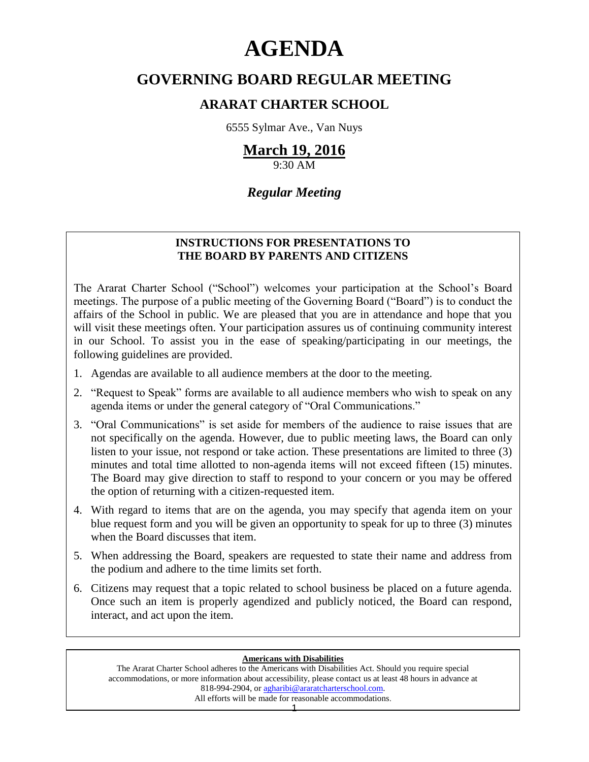# **AGENDA**

### **GOVERNING BOARD REGULAR MEETING**

### **ARARAT CHARTER SCHOOL**

6555 Sylmar Ave., Van Nuys

### **March 19, 2016**

9:30 AM

### *Regular Meeting*

### **INSTRUCTIONS FOR PRESENTATIONS TO THE BOARD BY PARENTS AND CITIZENS**

The Ararat Charter School ("School") welcomes your participation at the School's Board meetings. The purpose of a public meeting of the Governing Board ("Board") is to conduct the affairs of the School in public. We are pleased that you are in attendance and hope that you will visit these meetings often. Your participation assures us of continuing community interest in our School. To assist you in the ease of speaking/participating in our meetings, the following guidelines are provided.

- 1. Agendas are available to all audience members at the door to the meeting.
- 2. "Request to Speak" forms are available to all audience members who wish to speak on any agenda items or under the general category of "Oral Communications."
- 3. "Oral Communications" is set aside for members of the audience to raise issues that are not specifically on the agenda. However, due to public meeting laws, the Board can only listen to your issue, not respond or take action. These presentations are limited to three (3) minutes and total time allotted to non-agenda items will not exceed fifteen (15) minutes. The Board may give direction to staff to respond to your concern or you may be offered the option of returning with a citizen-requested item.
- 4. With regard to items that are on the agenda, you may specify that agenda item on your blue request form and you will be given an opportunity to speak for up to three (3) minutes when the Board discusses that item.
- 5. When addressing the Board, speakers are requested to state their name and address from the podium and adhere to the time limits set forth.
- 6. Citizens may request that a topic related to school business be placed on a future agenda. Once such an item is properly agendized and publicly noticed, the Board can respond, interact, and act upon the item.

#### **Americans with Disabilities**

The Ararat Charter School adheres to the Americans with Disabilities Act. Should you require special accommodations, or more information about accessibility, please contact us at least 48 hours in advance at 818-994-2904, or [agharibi@araratcharterschool.com.](mailto:agharibi@araratcharterschool.com)  All efforts will be made for reasonable accommodations.

1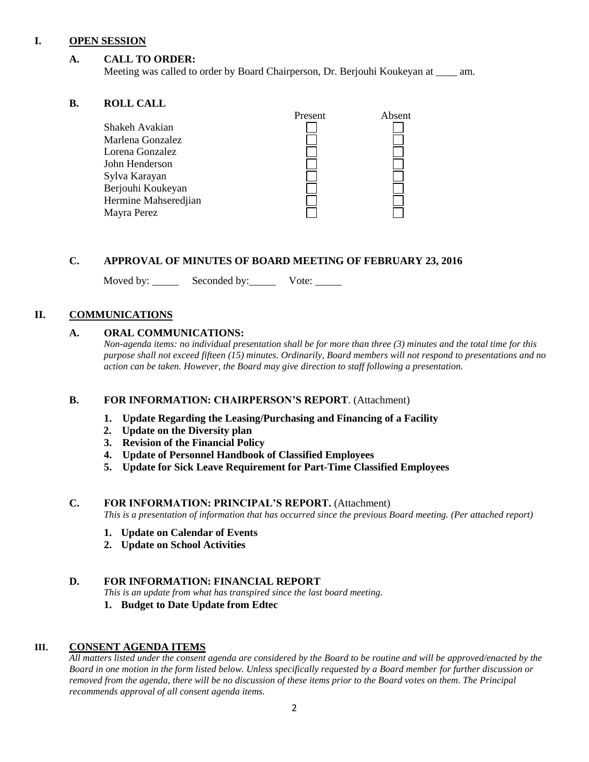#### **I. OPEN SESSION**

#### **A. CALL TO ORDER:**

Meeting was called to order by Board Chairperson, Dr. Berjouhi Koukeyan at \_\_\_\_ am.

#### **B. ROLL CALL**

| Present<br>Absent<br>Shakeh Avakian |  |
|-------------------------------------|--|
|                                     |  |
| Marlena Gonzalez                    |  |
| Lorena Gonzalez                     |  |
| John Henderson                      |  |
| Sylva Karayan                       |  |
| Berjouhi Koukeyan                   |  |
| Hermine Mahseredjian                |  |
| Mayra Perez                         |  |

#### **C. APPROVAL OF MINUTES OF BOARD MEETING OF FEBRUARY 23, 2016**

Moved by: Seconded by: Vote:

#### **II. COMMUNICATIONS**

#### **A. ORAL COMMUNICATIONS:**

*Non-agenda items: no individual presentation shall be for more than three (3) minutes and the total time for this purpose shall not exceed fifteen (15) minutes. Ordinarily, Board members will not respond to presentations and no action can be taken. However, the Board may give direction to staff following a presentation.*

#### **B. FOR INFORMATION: CHAIRPERSON'S REPORT**. (Attachment)

- **1. Update Regarding the Leasing/Purchasing and Financing of a Facility**
- **2. Update on the Diversity plan**
- **3. Revision of the Financial Policy**
- **4. Update of Personnel Handbook of Classified Employees**
- **5. Update for Sick Leave Requirement for Part-Time Classified Employees**

#### **C. FOR INFORMATION: PRINCIPAL'S REPORT.** (Attachment)

*This is a presentation of information that has occurred since the previous Board meeting. (Per attached report)*

- **1. Update on Calendar of Events**
- **2. Update on School Activities**

#### **D. FOR INFORMATION: FINANCIAL REPORT**

*This is an update from what has transpired since the last board meeting.*

**1. Budget to Date Update from Edtec**

#### **III. CONSENT AGENDA ITEMS**

*All matters listed under the consent agenda are considered by the Board to be routine and will be approved/enacted by the Board in one motion in the form listed below. Unless specifically requested by a Board member for further discussion or removed from the agenda, there will be no discussion of these items prior to the Board votes on them. The Principal recommends approval of all consent agenda items.*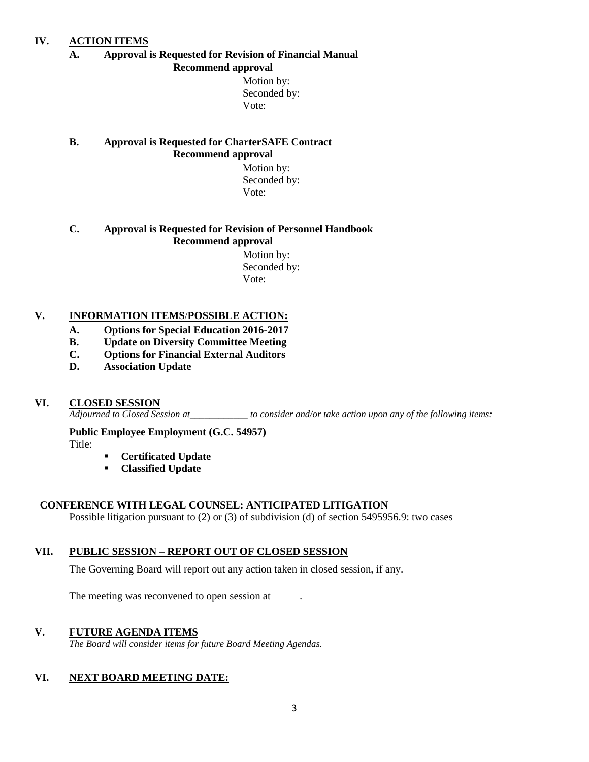#### **IV. ACTION ITEMS**

#### **A. Approval is Requested for Revision of Financial Manual Recommend approval**

 Motion by: Seconded by: Vote:

#### **B. Approval is Requested for CharterSAFE Contract Recommend approval**

 Motion by: Seconded by: Vote:

#### **C. Approval is Requested for Revision of Personnel Handbook Recommend approval**

 Motion by: Seconded by: Vote:

#### **V. INFORMATION ITEMS**/**POSSIBLE ACTION:**

- **A. Options for Special Education 2016-2017**
- **B. Update on Diversity Committee Meeting**
- **C. Options for Financial External Auditors**
- **D. Association Update**

#### **VI. CLOSED SESSION**

*Adjourned to Closed Session at\_\_\_\_\_\_\_\_\_\_\_\_ to consider and/or take action upon any of the following items:*

**Public Employee Employment (G.C. 54957)** Title:

- **Certificated Update**
- **Classified Update**

#### **CONFERENCE WITH LEGAL COUNSEL: ANTICIPATED LITIGATION**

Possible litigation pursuant to (2) or (3) of subdivision (d) of section 5495956.9: two cases

#### **VII. PUBLIC SESSION – REPORT OUT OF CLOSED SESSION**

The Governing Board will report out any action taken in closed session, if any.

The meeting was reconvened to open session at  $\qquad \qquad$ .

#### **V. FUTURE AGENDA ITEMS**

*The Board will consider items for future Board Meeting Agendas.*

#### **VI. NEXT BOARD MEETING DATE:**